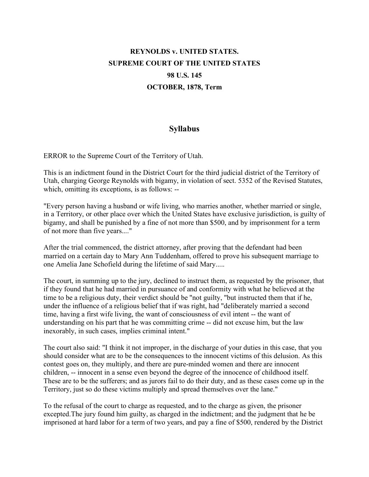## **REYNOLDS v. UNITED STATES. SUPREME COURT OF THE UNITED STATES 98 U.S. 145 OCTOBER, 1878, Term**

## **Syllabus**

ERROR to the Supreme Court of the Territory of Utah.

This is an indictment found in the District Court for the third judicial district of the Territory of Utah, charging George Reynolds with bigamy, in violation of sect. 5352 of the Revised Statutes, which, omitting its exceptions, is as follows: --

"Every person having a husband or wife living, who marries another, whether married or single, in a Territory, or other place over which the United States have exclusive jurisdiction, is guilty of bigamy, and shall be punished by a fine of not more than \$500, and by imprisonment for a term of not more than five years...."

After the trial commenced, the district attorney, after proving that the defendant had been married on a certain day to Mary Ann Tuddenham, offered to prove his subsequent marriage to one Amelia Jane Schofield during the lifetime of said Mary.....

The court, in summing up to the jury, declined to instruct them, as requested by the prisoner, that if they found that he had married in pursuance of and conformity with what he believed at the time to be a religious duty, their verdict should be "not guilty, "but instructed them that if he, under the influence of a religious belief that if was right, had "deliberately married a second time, having a first wife living, the want of consciousness of evil intent -- the want of understanding on his part that he was committing crime -- did not excuse him, but the law inexorably, in such cases, implies criminal intent."

The court also said: "I think it not improper, in the discharge of your duties in this case, that you should consider what are to be the consequences to the innocent victims of this delusion. As this contest goes on, they multiply, and there are pure-minded women and there are innocent children, -- innocent in a sense even beyond the degree of the innocence of childhood itself. These are to be the sufferers; and as jurors fail to do their duty, and as these cases come up in the Territory, just so do these victims multiply and spread themselves over the lane."

To the refusal of the court to charge as requested, and to the charge as given, the prisoner excepted.The jury found him guilty, as charged in the indictment; and the judgment that he be imprisoned at hard labor for a term of two years, and pay a fine of \$500, rendered by the District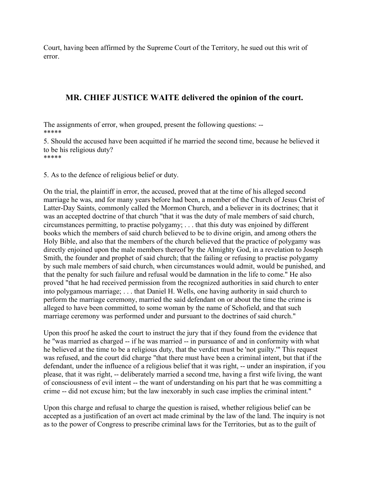Court, having been affirmed by the Supreme Court of the Territory, he sued out this writ of error.

## **MR. CHIEF JUSTICE WAITE delivered the opinion of the court.**

The assignments of error, when grouped, present the following questions: -- \*\*\*\*\*

5. Should the accused have been acquitted if he married the second time, because he believed it to be his religious duty? \*\*\*\*\*

5. As to the defence of religious belief or duty.

On the trial, the plaintiff in error, the accused, proved that at the time of his alleged second marriage he was, and for many years before had been, a member of the Church of Jesus Christ of Latter-Day Saints, commonly called the Mormon Church, and a believer in its doctrines; that it was an accepted doctrine of that church "that it was the duty of male members of said church, circumstances permitting, to practise polygamy; . . . that this duty was enjoined by different books which the members of said church believed to be to divine origin, and among others the Holy Bible, and also that the members of the church believed that the practice of polygamy was directly enjoined upon the male members thereof by the Almighty God, in a revelation to Joseph Smith, the founder and prophet of said church; that the failing or refusing to practise polygamy by such male members of said church, when circumstances would admit, would be punished, and that the penalty for such failure and refusal would be damnation in the life to come." He also proved "that he had received permission from the recognized authorities in said church to enter into polygamous marriage; . . . that Daniel H. Wells, one having authority in said church to perform the marriage ceremony, married the said defendant on or about the time the crime is alleged to have been committed, to some woman by the name of Schofield, and that such marriage ceremony was performed under and pursuant to the doctrines of said church."

Upon this proof he asked the court to instruct the jury that if they found from the evidence that he "was married as charged -- if he was married -- in pursuance of and in conformity with what he believed at the time to be a religious duty, that the verdict must be 'not guilty.'" This request was refused, and the court did charge "that there must have been a criminal intent, but that if the defendant, under the influence of a religious belief that it was right, -- under an inspiration, if you please, that it was right, -- deliberately married a second tme, having a first wife living, the want of consciousness of evil intent -- the want of understanding on his part that he was committing a crime -- did not excuse him; but the law inexorably in such case implies the criminal intent."

Upon this charge and refusal to charge the question is raised, whether religious belief can be accepted as a justification of an overt act made criminal by the law of the land. The inquiry is not as to the power of Congress to prescribe criminal laws for the Territories, but as to the guilt of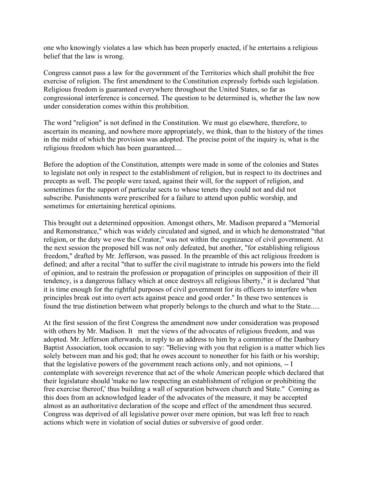one who knowingly violates a law which has been properly enacted, if he entertains a religious belief that the law is wrong.

Congress cannot pass a law for the government of the Territories which shall prohibit the free exercise of religion. The first amendment to the Constitution expressly forbids such legislation. Religious freedom is guaranteed everywhere throughout the United States, so far as congressional interference is concerned. The question to be determined is, whether the law now under consideration comes within this prohibition.

The word "religion" is not defined in the Constitution. We must go elsewhere, therefore, to ascertain its meaning, and nowhere more appropriately, we think, than to the history of the times in the midst of which the provision was adopted. The precise point of the inquiry is, what is the religious freedom which has been guaranteed....

Before the adoption of the Constitution, attempts were made in some of the colonies and States to legislate not only in respect to the establishment of religion, but in respect to its doctrines and precepts as well. The people were taxed, against their will, for the support of religion, and sometimes for the support of particular sects to whose tenets they could not and did not subscribe. Punishments were prescribed for a failure to attend upon public worship, and sometimes for entertaining heretical opinions.

This brought out a determined opposition. Amongst others, Mr. Madison prepared a "Memorial and Remonstrance," which was widely circulated and signed, and in which he demonstrated "that religion, or the duty we owe the Creator," was not within the cognizance of civil government. At the next session the proposed bill was not only defeated, but another, "for establishing religious freedom," drafted by Mr. Jefferson, was passed. In the preamble of this act religious freedom is defined; and after a recital "that to suffer the civil magistrate to intrude his powers into the field of opinion, and to restrain the profession or propagation of principles on supposition of their ill tendency, is a dangerous fallacy which at once destroys all religious liberty," it is declared "that it is time enough for the rightful purposes of civil government for its officers to interfere when principles break out into overt acts against peace and good order." In these two sentences is found the true distinetion between what properly belongs to the church and what to the State.....

At the first session of the first Congress the amendment now under consideration was proposed with others by Mr. Madison. It met the views of the advocates of religious freedom, and was adopted. Mr. Jefferson afterwards, in reply to an address to him by a committee of the Danbury Baptist Association, took occasion to say: "Believing with you that religion is a matter which lies solely between man and his god; that he owes account to noneother for his faith or his worship; that the legislative powers of the government reach actions only, and not opinions, -- I contemplate with sovereign reverence that act of the whole American people which declared that their legislature should 'make no law respecting an establishment of religion or prohibiting the free exercise thereof,' thus building a wall of separation between church and State." Coming as this does from an acknowledged leader of the advocates of the measure, it may be accepted almost as an authoritative declaration of the scope and effect of the amendment thus secured. Congress was deprived of all legislative power over mere opinion, but was left free to reach actions which were in violation of social duties or subversive of good order.